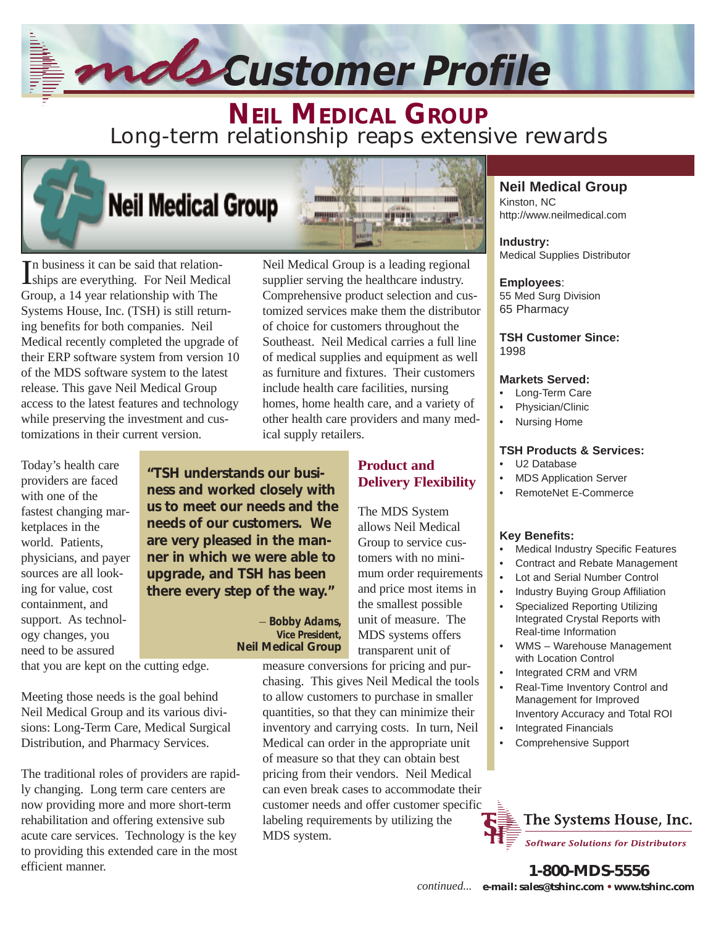# *Customer Profile*

**MANUFACT** 

**NEIL MEDICAL GROUP** Long-term relationship reaps extensive rewards

## **Neil Medical Group**

In business it can be said that relation-<br>Iships are everything. For Neil Medical n business it can be said that relation-Group, a 14 year relationship with The Systems House, Inc. (TSH) is still returning benefits for both companies. Neil Medical recently completed the upgrade of their ERP software system from version 10 of the MDS software system to the latest release. This gave Neil Medical Group access to the latest features and technology while preserving the investment and customizations in their current version.

Today's health care providers are faced with one of the fastest changing marketplaces in the world. Patients, physicians, and payer sources are all looking for value, cost containment, and support. As technology changes, you need to be assured

**"TSH understands our business and worked closely with us to meet our needs and the needs of our customers. We are very pleased in the manner in which we were able to upgrade, and TSH has been there every step of the way."**

that you are kept on the cutting edge.

Meeting those needs is the goal behind Neil Medical Group and its various divisions: Long-Term Care, Medical Surgical Distribution, and Pharmacy Services.

The traditional roles of providers are rapidly changing. Long term care centers are now providing more and more short-term rehabilitation and offering extensive sub acute care services. Technology is the key to providing this extended care in the most efficient manner.

Neil Medical Group is a leading regional supplier serving the healthcare industry. Comprehensive product selection and customized services make them the distributor of choice for customers throughout the Southeast. Neil Medical carries a full line of medical supplies and equipment as well as furniture and fixtures. Their customers include health care facilities, nursing homes, home health care, and a variety of other health care providers and many medical supply retailers.

be caused compared and

mmaring way in home page to page.

## **Product and Delivery Flexibility**

The MDS System allows Neil Medical Group to service customers with no minimum order requirements and price most items in the smallest possible unit of measure. The MDS systems offers transparent unit of

#### measure conversions for pricing and pur-*Vice President,*  **Neil Medical Group**

– *Bobby Adams,*

chasing. This gives Neil Medical the tools to allow customers to purchase in smaller quantities, so that they can minimize their inventory and carrying costs. In turn, Neil Medical can order in the appropriate unit of measure so that they can obtain best pricing from their vendors. Neil Medical can even break cases to accommodate their customer needs and offer customer specific labeling requirements by utilizing the MDS system.

### **Neil Medical Group**

Kinston, NC http://www.neilmedical.com

**Industry:** Medical Supplies Distributor

## **Employees**:

55 Med Surg Division 65 Pharmacy

#### **TSH Customer Since:** 1998

#### **Markets Served:**

- Long-Term Care
- Physician/Clinic
- Nursing Home

#### **TSH Products & Services:**

- U<sub>2</sub> Database
- MDS Application Server
- RemoteNet E-Commerce

#### **Key Benefits:**

- Medical Industry Specific Features
- Contract and Rebate Management
- Lot and Serial Number Control
- Industry Buying Group Affiliation
- Specialized Reporting Utilizing Integrated Crystal Reports with Real-time Information
- WMS Warehouse Management with Location Control
- Integrated CRM and VRM
- Real-Time Inventory Control and Management for Improved Inventory Accuracy and Total ROI
- Integrated Financials
- Comprehensive Support



**1-800-MDS-5556 e-mail: sales@tshinc.com • www.tshinc.com** *continued...*